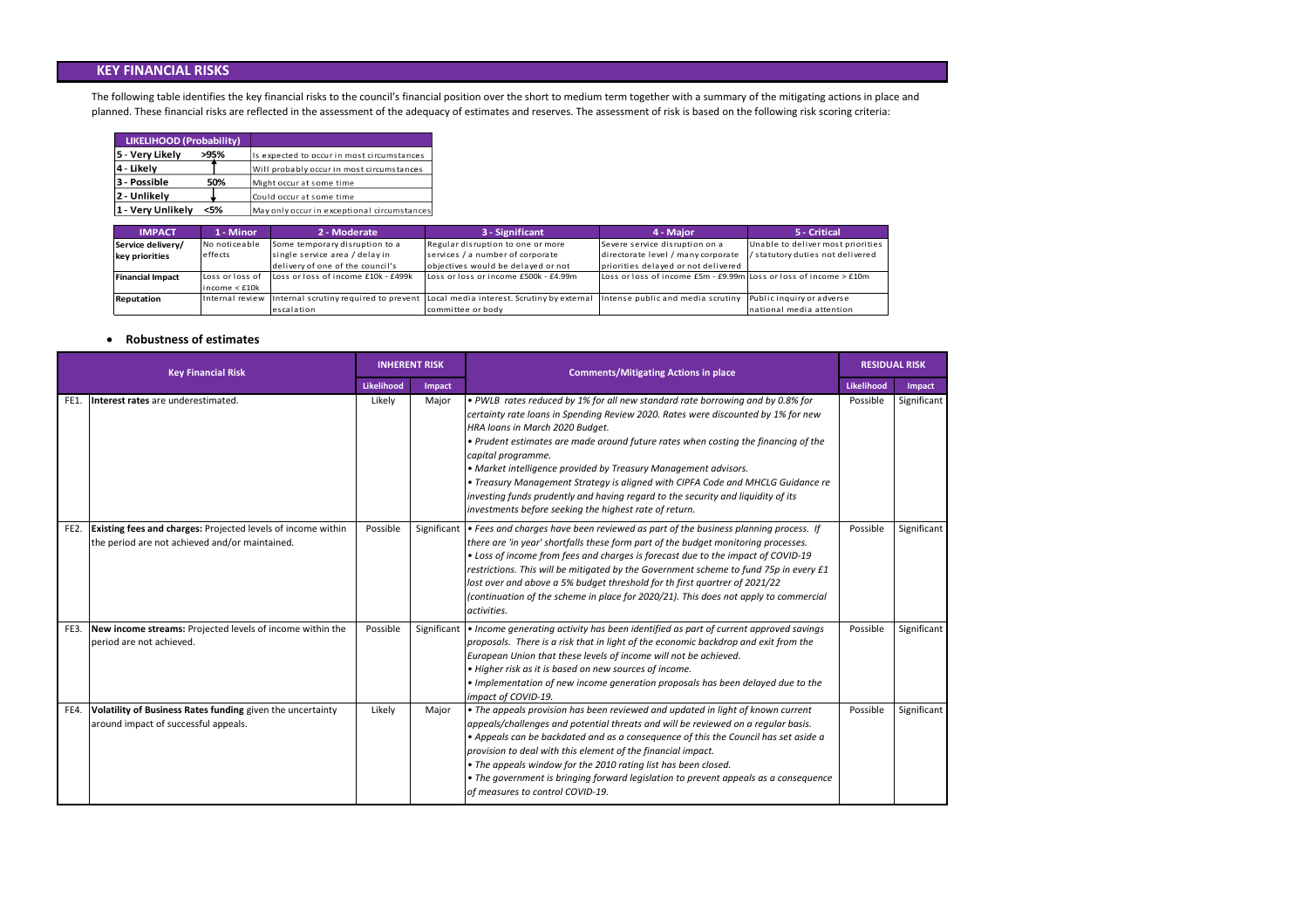#### **Robustness of estimates**

The following table identifies the key financial risks to the council's financial position over the short to medium term together with a summary of the mitigating actions in place and planned. These financial risks are reflected in the assessment of the adequacy of estimates and reserves. The assessment of risk is based on the following risk scoring criteria:

| LIKELIHOOD (Probability) |      |                                             |
|--------------------------|------|---------------------------------------------|
| 5 - Very Likely          | >95% | Is expected to occur in most circumstances  |
| 4 - Likely               |      | Will probably occur in most circumstances   |
| 3 - Possible             | 50%  | Might occur at some time                    |
| 2 - Unlikely             |      | Could occur at some time                    |
| 1 - Very Unlikely        | <5%  | May only occur in exceptional circumstances |

| <b>Key Financial Risk</b> |                                                                                                                       | <b>INHERENT RISK</b>        |             | <b>Comments/Mitigating Actions in place</b>                                                                                                                                                                                                                                                                                                                                                                                                                                                                                                                                                                            | <b>RESIDUAL RISK</b> |             |
|---------------------------|-----------------------------------------------------------------------------------------------------------------------|-----------------------------|-------------|------------------------------------------------------------------------------------------------------------------------------------------------------------------------------------------------------------------------------------------------------------------------------------------------------------------------------------------------------------------------------------------------------------------------------------------------------------------------------------------------------------------------------------------------------------------------------------------------------------------------|----------------------|-------------|
|                           |                                                                                                                       | <b>Likelihood</b><br>Impact |             |                                                                                                                                                                                                                                                                                                                                                                                                                                                                                                                                                                                                                        |                      | Impact      |
| FE1.                      | Interest rates are underestimated.                                                                                    | Likely                      | Major       | • PWLB rates reduced by 1% for all new standard rate borrowing and by 0.8% for<br>certainty rate loans in Spending Review 2020. Rates were discounted by 1% for new<br>HRA loans in March 2020 Budget.<br>. Prudent estimates are made around future rates when costing the financing of the<br>capital programme.<br>• Market intelligence provided by Treasury Management advisors.<br>• Treasury Management Strategy is aligned with CIPFA Code and MHCLG Guidance re<br>investing funds prudently and having regard to the security and liquidity of its<br>investments before seeking the highest rate of return. | Possible             | Significant |
| FE <sub>2</sub> .         | <b>Existing fees and charges: Projected levels of income within</b><br>the period are not achieved and/or maintained. | Possible                    | Significant | • Fees and charges have been reviewed as part of the business planning process. If<br>there are 'in year' shortfalls these form part of the budget monitoring processes.<br>• Loss of income from fees and charges is forecast due to the impact of COVID-19<br>restrictions. This will be mitigated by the Government scheme to fund 75p in every £1<br>lost over and above a 5% budget threshold for th first quartrer of 2021/22<br>(continuation of the scheme in place for 2020/21). This does not apply to commercial<br>activities.                                                                             | Possible             | Significant |
| FE3.                      | New income streams: Projected levels of income within the<br>period are not achieved.                                 | Possible                    | Significant | • Income generating activity has been identified as part of current approved savings<br>proposals. There is a risk that in light of the economic backdrop and exit from the<br>European Union that these levels of income will not be achieved.<br>• Higher risk as it is based on new sources of income.<br>. Implementation of new income generation proposals has been delayed due to the<br>impact of COVID-19.                                                                                                                                                                                                    | Possible             | Significant |
| FE4.                      | Volatility of Business Rates funding given the uncertainty<br>around impact of successful appeals.                    | Likely                      | Major       | • The appeals provision has been reviewed and updated in light of known current<br>appeals/challenges and potential threats and will be reviewed on a regular basis.<br>• Appeals can be backdated and as a consequence of this the Council has set aside a<br>provision to deal with this element of the financial impact.<br>• The appeals window for the 2010 rating list has been closed.<br>• The government is bringing forward legislation to prevent appeals as a consequence<br>of measures to control COVID-19.                                                                                              | Possible             | Significant |

riorities i ve re d

#### **KEY FINANCIAL RISKS**

| <b>IMPACT</b>           | 1 - Minor           | 2 - Moderate                        | 3 - Significant                                                                                  | 4 - Major                                                             | 5 - Critical                    |
|-------------------------|---------------------|-------------------------------------|--------------------------------------------------------------------------------------------------|-----------------------------------------------------------------------|---------------------------------|
| Service delivery/       | No noticeable       | Some temporary disruption to a      | Regular disruption to one or more                                                                | Severe service disruption on a                                        | Unable to deliver most priori   |
| key priorities          | effects             | single service area / delay in      | services / a number of corporate                                                                 | directorate level / many corporate                                    | / statutory duties not delivere |
|                         |                     | delivery of one of the council's    | objectives would be delayed or not                                                               | priorities delayed or not delivered                                   |                                 |
| <b>Financial Impact</b> | Loss or loss of     | Loss or loss of income £10k - £499k | Loss or loss or income £500k - £4.99m                                                            | Loss or loss of income $£5m - £9.99m$ Loss or loss of income $> £10m$ |                                 |
|                         | $lineome <$ £10 $k$ |                                     |                                                                                                  |                                                                       |                                 |
| Reputation              |                     |                                     | Internal review Internal scrutiny required to prevent Local media interest. Scrutiny by external | Intense public and media scrutiny                                     | Public inquiry or adverse       |
|                         |                     | escalation                          | committee or body                                                                                |                                                                       | national media attention        |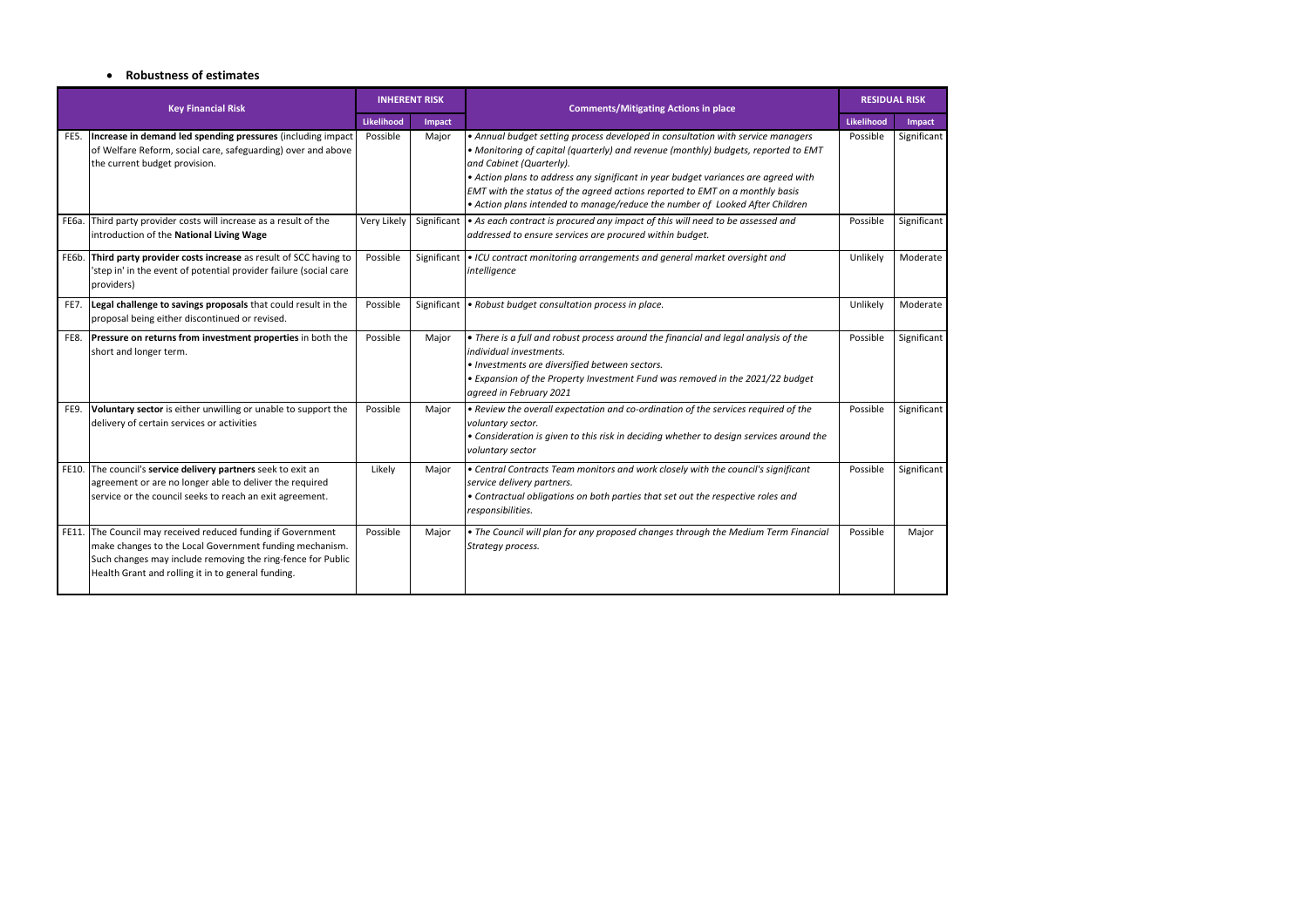#### **Robustness of estimates**

| <b>Key Financial Risk</b> |                                                                                                                                                                                                                                              | <b>INHERENT RISK</b> |             | <b>Comments/Mitigating Actions in place</b>                                                                                                                                                                                                                                                                                                                                                                                                             | <b>RESIDUAL RISK</b> |             |
|---------------------------|----------------------------------------------------------------------------------------------------------------------------------------------------------------------------------------------------------------------------------------------|----------------------|-------------|---------------------------------------------------------------------------------------------------------------------------------------------------------------------------------------------------------------------------------------------------------------------------------------------------------------------------------------------------------------------------------------------------------------------------------------------------------|----------------------|-------------|
|                           |                                                                                                                                                                                                                                              | <b>Likelihood</b>    | Impact      |                                                                                                                                                                                                                                                                                                                                                                                                                                                         | <b>Likelihood</b>    | Impact      |
| FE5.                      | Increase in demand led spending pressures (including impact<br>of Welfare Reform, social care, safeguarding) over and above<br>the current budget provision.                                                                                 | Possible             | Major       | • Annual budget setting process developed in consultation with service managers<br>. Monitoring of capital (quarterly) and revenue (monthly) budgets, reported to EMT<br>and Cabinet (Quarterly).<br>• Action plans to address any significant in year budget variances are agreed with<br>EMT with the status of the agreed actions reported to EMT on a monthly basis<br>• Action plans intended to manage/reduce the number of Looked After Children | Possible             | Significant |
| <b>FE6a.</b>              | Third party provider costs will increase as a result of the<br>introduction of the National Living Wage                                                                                                                                      | Very Likely          | Significant | • As each contract is procured any impact of this will need to be assessed and<br>addressed to ensure services are procured within budget.                                                                                                                                                                                                                                                                                                              | Possible             | Significant |
| FE6b.                     | Third party provider costs increase as result of SCC having to<br>'step in' in the event of potential provider failure (social care<br>providers)                                                                                            | Possible             | Significant | • ICU contract monitoring arrangements and general market oversight and<br>intelligence                                                                                                                                                                                                                                                                                                                                                                 | Unlikely             | Moderate    |
| FE7.                      | Legal challenge to savings proposals that could result in the<br>proposal being either discontinued or revised.                                                                                                                              | Possible             | Significant | . Robust budget consultation process in place.                                                                                                                                                                                                                                                                                                                                                                                                          | Unlikely             | Moderate    |
| FE8.                      | <b>Pressure on returns from investment properties</b> in both the<br>short and longer term.                                                                                                                                                  | Possible             | Major       | • There is a full and robust process around the financial and legal analysis of the<br>individual investments.<br>· Investments are diversified between sectors.<br>• Expansion of the Property Investment Fund was removed in the 2021/22 budget<br>agreed in February 2021                                                                                                                                                                            | Possible             | Significant |
| FE9.                      | Voluntary sector is either unwilling or unable to support the<br>delivery of certain services or activities                                                                                                                                  | Possible             | Major       | . Review the overall expectation and co-ordination of the services required of the<br>voluntary sector.<br>• Consideration is given to this risk in deciding whether to design services around the<br>voluntary sector                                                                                                                                                                                                                                  | Possible             | Significant |
|                           | FE10. The council's service delivery partners seek to exit an<br>agreement or are no longer able to deliver the required<br>service or the council seeks to reach an exit agreement.                                                         | Likely               | Major       | • Central Contracts Team monitors and work closely with the council's significant<br>service delivery partners.<br>• Contractual obligations on both parties that set out the respective roles and<br>responsibilities.                                                                                                                                                                                                                                 | Possible             | Significant |
|                           | FE11. The Council may received reduced funding if Government<br>make changes to the Local Government funding mechanism.<br>Such changes may include removing the ring-fence for Public<br>Health Grant and rolling it in to general funding. | Possible             | Major       | . The Council will plan for any proposed changes through the Medium Term Financial<br>Strategy process.                                                                                                                                                                                                                                                                                                                                                 | Possible             | Major       |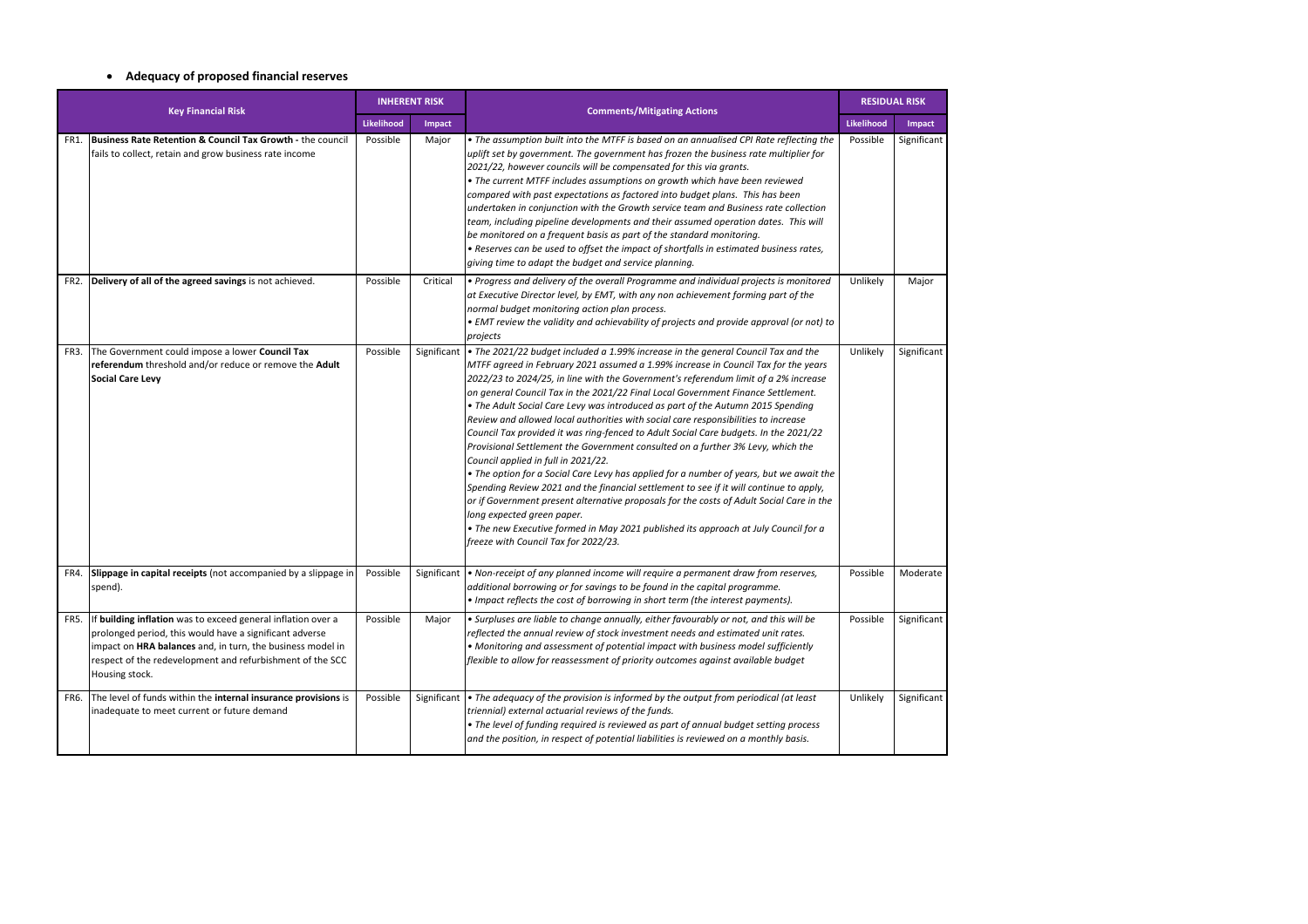# **Adequacy of proposed financial reserves**

| <b>Key Financial Risk</b> |                                                                                                                                                                                                                                                                      | <b>INHERENT RISK</b> |             | <b>Comments/Mitigating Actions</b>                                                                                                                                                                                                                                                                                                                                                                                                                                                                                                                                                                                                                                                                                                                                                                                                                                                                                                                                                                                                                                                                                                                                                          | <b>RESIDUAL RISK</b> |             |
|---------------------------|----------------------------------------------------------------------------------------------------------------------------------------------------------------------------------------------------------------------------------------------------------------------|----------------------|-------------|---------------------------------------------------------------------------------------------------------------------------------------------------------------------------------------------------------------------------------------------------------------------------------------------------------------------------------------------------------------------------------------------------------------------------------------------------------------------------------------------------------------------------------------------------------------------------------------------------------------------------------------------------------------------------------------------------------------------------------------------------------------------------------------------------------------------------------------------------------------------------------------------------------------------------------------------------------------------------------------------------------------------------------------------------------------------------------------------------------------------------------------------------------------------------------------------|----------------------|-------------|
|                           |                                                                                                                                                                                                                                                                      | Likelihood           | Impact      |                                                                                                                                                                                                                                                                                                                                                                                                                                                                                                                                                                                                                                                                                                                                                                                                                                                                                                                                                                                                                                                                                                                                                                                             | <b>Likelihood</b>    | Impact      |
| FR1.                      | <b>Business Rate Retention &amp; Council Tax Growth - the council</b><br>fails to collect, retain and grow business rate income                                                                                                                                      | Possible             | Major       | . The assumption built into the MTFF is based on an annualised CPI Rate reflecting the<br>uplift set by government. The government has frozen the business rate multiplier for<br>2021/22, however councils will be compensated for this via grants.<br>• The current MTFF includes assumptions on growth which have been reviewed<br>compared with past expectations as factored into budget plans. This has been<br>undertaken in conjunction with the Growth service team and Business rate collection<br>team, including pipeline developments and their assumed operation dates. This will<br>be monitored on a frequent basis as part of the standard monitoring.<br>. Reserves can be used to offset the impact of shortfalls in estimated business rates,<br>giving time to adapt the budget and service planning.                                                                                                                                                                                                                                                                                                                                                                  | Possible             | Significant |
| FR2.                      | Delivery of all of the agreed savings is not achieved.                                                                                                                                                                                                               | Possible             | Critical    | • Progress and delivery of the overall Programme and individual projects is monitored<br>at Executive Director level, by EMT, with any non achievement forming part of the<br>normal budget monitoring action plan process.<br>• EMT review the validity and achievability of projects and provide approval (or not) to<br>projects                                                                                                                                                                                                                                                                                                                                                                                                                                                                                                                                                                                                                                                                                                                                                                                                                                                         | Unlikely             | Major       |
| FR3.                      | The Government could impose a lower Council Tax<br>referendum threshold and/or reduce or remove the Adult<br>Social Care Levy                                                                                                                                        | Possible             | Significant | . The 2021/22 budget included a 1.99% increase in the general Council Tax and the<br>MTFF agreed in February 2021 assumed a 1.99% increase in Council Tax for the years<br>2022/23 to 2024/25, in line with the Government's referendum limit of a 2% increase<br>on general Council Tax in the 2021/22 Final Local Government Finance Settlement.<br>• The Adult Social Care Levy was introduced as part of the Autumn 2015 Spending<br>Review and allowed local authorities with social care responsibilities to increase<br>Council Tax provided it was ring-fenced to Adult Social Care budgets. In the 2021/22<br>Provisional Settlement the Government consulted on a further 3% Levy, which the<br>Council applied in full in 2021/22.<br>• The option for a Social Care Levy has applied for a number of years, but we await the<br>Spending Review 2021 and the financial settlement to see if it will continue to apply,<br>or if Government present alternative proposals for the costs of Adult Social Care in the<br>long expected green paper.<br>• The new Executive formed in May 2021 published its approach at July Council for a<br>freeze with Council Tax for 2022/23. | Unlikely             | Significant |
| FR4.                      | Slippage in capital receipts (not accompanied by a slippage in<br>spend).                                                                                                                                                                                            | Possible             | Significant | . Non-receipt of any planned income will require a permanent draw from reserves,<br>additional borrowing or for savings to be found in the capital programme.<br>• Impact reflects the cost of borrowing in short term (the interest payments).                                                                                                                                                                                                                                                                                                                                                                                                                                                                                                                                                                                                                                                                                                                                                                                                                                                                                                                                             | Possible             | Moderate    |
| FR5.                      | If building inflation was to exceed general inflation over a<br>prolonged period, this would have a significant adverse<br>impact on HRA balances and, in turn, the business model in<br>respect of the redevelopment and refurbishment of the SCC<br>Housing stock. | Possible             | Major       | · Surpluses are liable to change annually, either favourably or not, and this will be<br>reflected the annual review of stock investment needs and estimated unit rates.<br>• Monitoring and assessment of potential impact with business model sufficiently<br>flexible to allow for reassessment of priority outcomes against available budget                                                                                                                                                                                                                                                                                                                                                                                                                                                                                                                                                                                                                                                                                                                                                                                                                                            | Possible             | Significant |
| FR6.                      | The level of funds within the internal insurance provisions is<br>inadequate to meet current or future demand                                                                                                                                                        | Possible             | Significant | • The adequacy of the provision is informed by the output from periodical (at least<br>triennial) external actuarial reviews of the funds.<br>• The level of funding required is reviewed as part of annual budget setting process<br>and the position, in respect of potential liabilities is reviewed on a monthly basis.                                                                                                                                                                                                                                                                                                                                                                                                                                                                                                                                                                                                                                                                                                                                                                                                                                                                 | Unlikely             | Significant |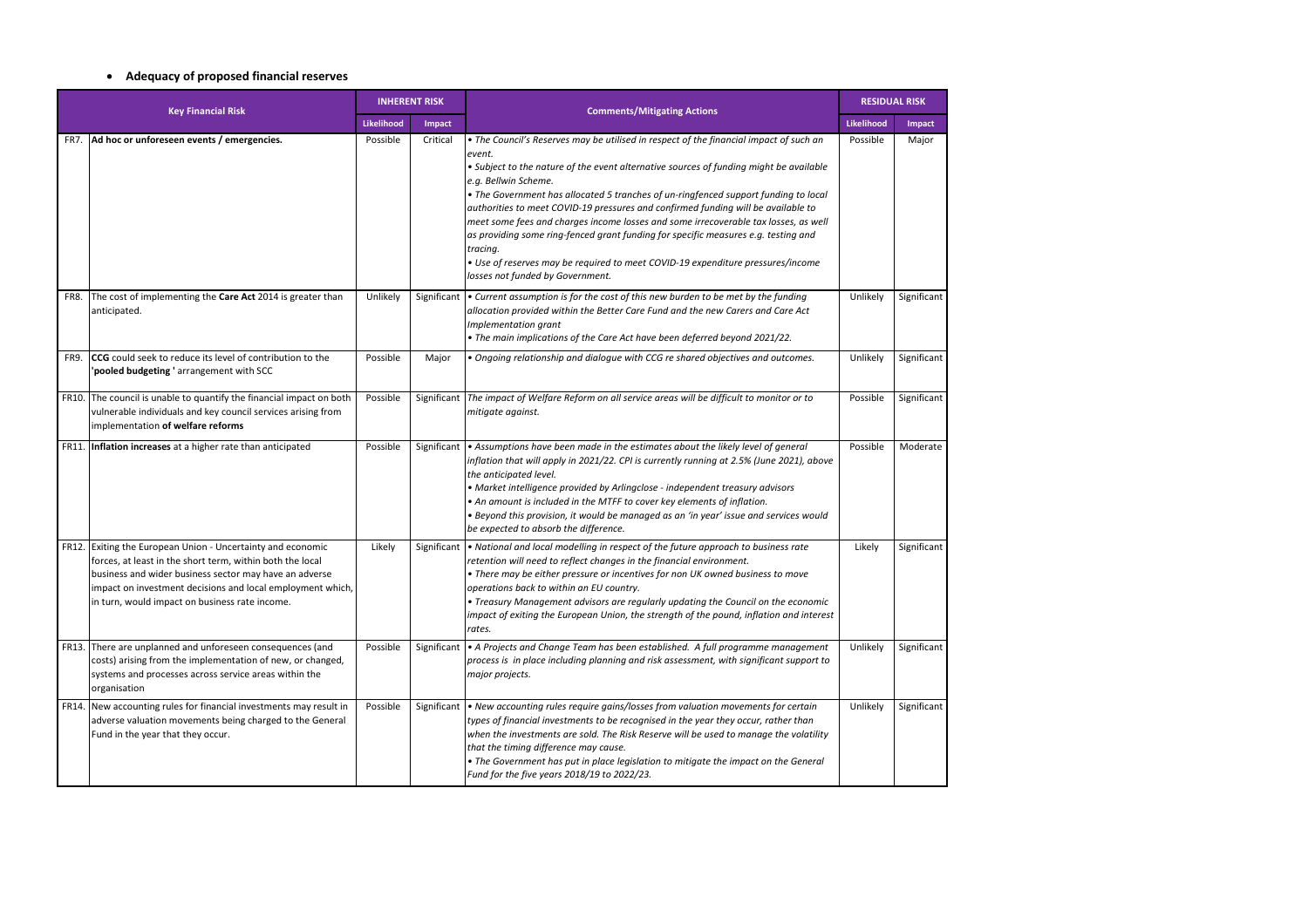# **Adequacy of proposed financial reserves**

| <b>Key Financial Risk</b> |                                                                                                                                                                                                                                                                                              | <b>INHERENT RISK</b> |               | <b>Comments/Mitigating Actions</b>                                                                                                                                                                                                                                                                                                                                                                                                                                                                                                                                                                                                                                                                             | <b>RESIDUAL RISK</b> |               |
|---------------------------|----------------------------------------------------------------------------------------------------------------------------------------------------------------------------------------------------------------------------------------------------------------------------------------------|----------------------|---------------|----------------------------------------------------------------------------------------------------------------------------------------------------------------------------------------------------------------------------------------------------------------------------------------------------------------------------------------------------------------------------------------------------------------------------------------------------------------------------------------------------------------------------------------------------------------------------------------------------------------------------------------------------------------------------------------------------------------|----------------------|---------------|
|                           |                                                                                                                                                                                                                                                                                              | Likelihood           | <b>Impact</b> |                                                                                                                                                                                                                                                                                                                                                                                                                                                                                                                                                                                                                                                                                                                |                      | <b>Impact</b> |
| FR7.                      | Ad hoc or unforeseen events / emergencies.                                                                                                                                                                                                                                                   | Possible             | Critical      | • The Council's Reserves may be utilised in respect of the financial impact of such an<br>event.<br>• Subject to the nature of the event alternative sources of funding might be available<br>e.g. Bellwin Scheme.<br>• The Government has allocated 5 tranches of un-ringfenced support funding to local<br>authorities to meet COVID-19 pressures and confirmed funding will be available to<br>meet some fees and charges income losses and some irrecoverable tax losses, as well<br>as providing some ring-fenced grant funding for specific measures e.g. testing and<br>tracing.<br>• Use of reserves may be required to meet COVID-19 expenditure pressures/income<br>losses not funded by Government. | Possible             | Major         |
| FR8.                      | The cost of implementing the Care Act 2014 is greater than<br>anticipated.                                                                                                                                                                                                                   | Unlikely             | Significant   | $\bullet$ Current assumption is for the cost of this new burden to be met by the funding<br>allocation provided within the Better Care Fund and the new Carers and Care Act<br>Implementation grant<br>• The main implications of the Care Act have been deferred beyond 2021/22.                                                                                                                                                                                                                                                                                                                                                                                                                              | Unlikely             | Significant   |
| FR9.                      | <b>CCG</b> could seek to reduce its level of contribution to the<br>'pooled budgeting ' arrangement with SCC                                                                                                                                                                                 | Possible             | Major         | . Ongoing relationship and dialogue with CCG re shared objectives and outcomes.                                                                                                                                                                                                                                                                                                                                                                                                                                                                                                                                                                                                                                | Unlikely             | Significant   |
| <b>FR10.</b>              | The council is unable to quantify the financial impact on both<br>vulnerable individuals and key council services arising from<br>implementation of welfare reforms                                                                                                                          | Possible             | Significant   | The impact of Welfare Reform on all service areas will be difficult to monitor or to<br>mitigate against.                                                                                                                                                                                                                                                                                                                                                                                                                                                                                                                                                                                                      | Possible             | Significant   |
|                           | FR11. Inflation increases at a higher rate than anticipated                                                                                                                                                                                                                                  | Possible             |               | Significant $\cdot$ Assumptions have been made in the estimates about the likely level of general<br>inflation that will apply in 2021/22. CPI is currently running at 2.5% (June 2021), above<br>the anticipated level.<br>• Market intelligence provided by Arlingclose - independent treasury advisors<br>• An amount is included in the MTFF to cover key elements of inflation.<br>· Beyond this provision, it would be managed as an 'in year' issue and services would<br>be expected to absorb the difference.                                                                                                                                                                                         | Possible             | Moderate      |
| FR12.                     | Exiting the European Union - Uncertainty and economic<br>forces, at least in the short term, within both the local<br>business and wider business sector may have an adverse<br>impact on investment decisions and local employment which,<br>in turn, would impact on business rate income. | Likely               | Significant   | • National and local modelling in respect of the future approach to business rate<br>retention will need to reflect changes in the financial environment.<br>• There may be either pressure or incentives for non UK owned business to move<br>operations back to within an EU country.<br>• Treasury Management advisors are regularly updating the Council on the economic<br>impact of exiting the European Union, the strength of the pound, inflation and interest<br>rates.                                                                                                                                                                                                                              | Likely               | Significant   |
| FR13.                     | There are unplanned and unforeseen consequences (and<br>costs) arising from the implementation of new, or changed,<br>systems and processes across service areas within the<br>organisation                                                                                                  | Possible             | Significant   | A Projects and Change Team has been established. A full programme management<br>process is in place including planning and risk assessment, with significant support to<br>major projects.                                                                                                                                                                                                                                                                                                                                                                                                                                                                                                                     | Unlikely             | Significant   |
| FR14.                     | New accounting rules for financial investments may result in<br>adverse valuation movements being charged to the General<br>Fund in the year that they occur.                                                                                                                                | Possible             | Significant   | • New accounting rules require gains/losses from valuation movements for certain<br>types of financial investments to be recognised in the year they occur, rather than<br>when the investments are sold. The Risk Reserve will be used to manage the volatility<br>that the timing difference may cause.<br>• The Government has put in place legislation to mitigate the impact on the General<br>Fund for the five years 2018/19 to 2022/23.                                                                                                                                                                                                                                                                | Unlikely             | Significant   |